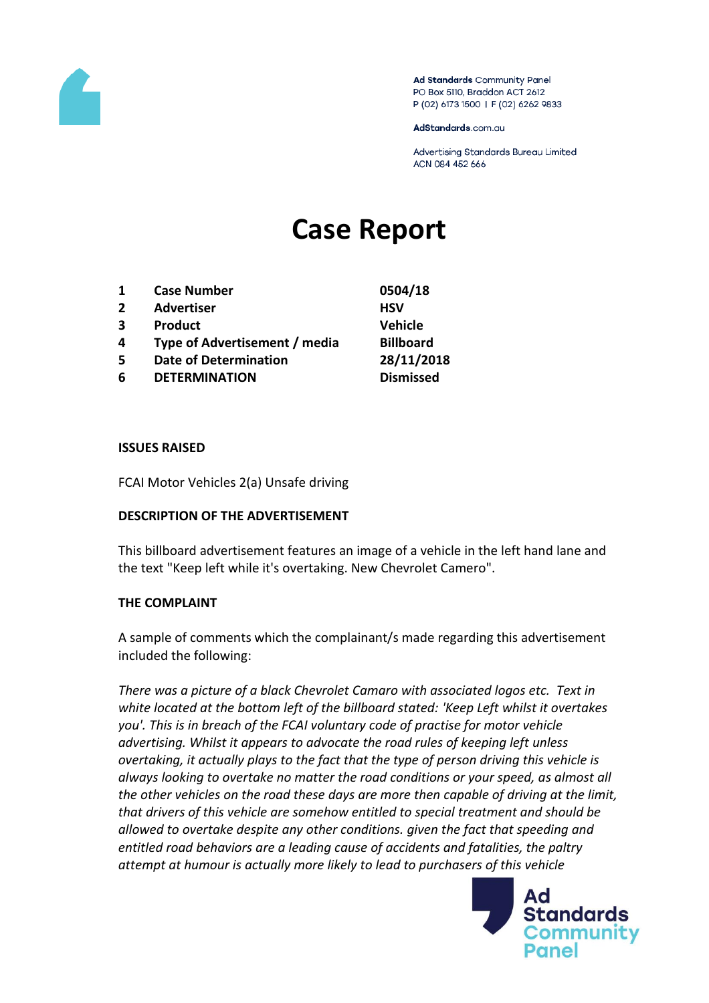

Ad Standards Community Panel PO Box 5110, Braddon ACT 2612 P (02) 6173 1500 | F (02) 6262 9833

AdStandards.com.au

Advertising Standards Bureau Limited ACN 084 452 666

# **Case Report**

| 1 | <b>Case Number</b>            | 0504/18          |
|---|-------------------------------|------------------|
| 2 | <b>Advertiser</b>             | <b>HSV</b>       |
| 3 | <b>Product</b>                | <b>Vehicle</b>   |
| 4 | Type of Advertisement / media | <b>Billboard</b> |
| 5 | <b>Date of Determination</b>  | 28/11/2018       |
| 6 | <b>DETERMINATION</b>          | <b>Dismissed</b> |
|   |                               |                  |

### **ISSUES RAISED**

FCAI Motor Vehicles 2(a) Unsafe driving

#### **DESCRIPTION OF THE ADVERTISEMENT**

This billboard advertisement features an image of a vehicle in the left hand lane and the text "Keep left while it's overtaking. New Chevrolet Camero".

#### **THE COMPLAINT**

A sample of comments which the complainant/s made regarding this advertisement included the following:

*There was a picture of a black Chevrolet Camaro with associated logos etc. Text in white located at the bottom left of the billboard stated: 'Keep Left whilst it overtakes you'. This is in breach of the FCAI voluntary code of practise for motor vehicle advertising. Whilst it appears to advocate the road rules of keeping left unless overtaking, it actually plays to the fact that the type of person driving this vehicle is always looking to overtake no matter the road conditions or your speed, as almost all the other vehicles on the road these days are more then capable of driving at the limit, that drivers of this vehicle are somehow entitled to special treatment and should be allowed to overtake despite any other conditions. given the fact that speeding and entitled road behaviors are a leading cause of accidents and fatalities, the paltry attempt at humour is actually more likely to lead to purchasers of this vehicle* 

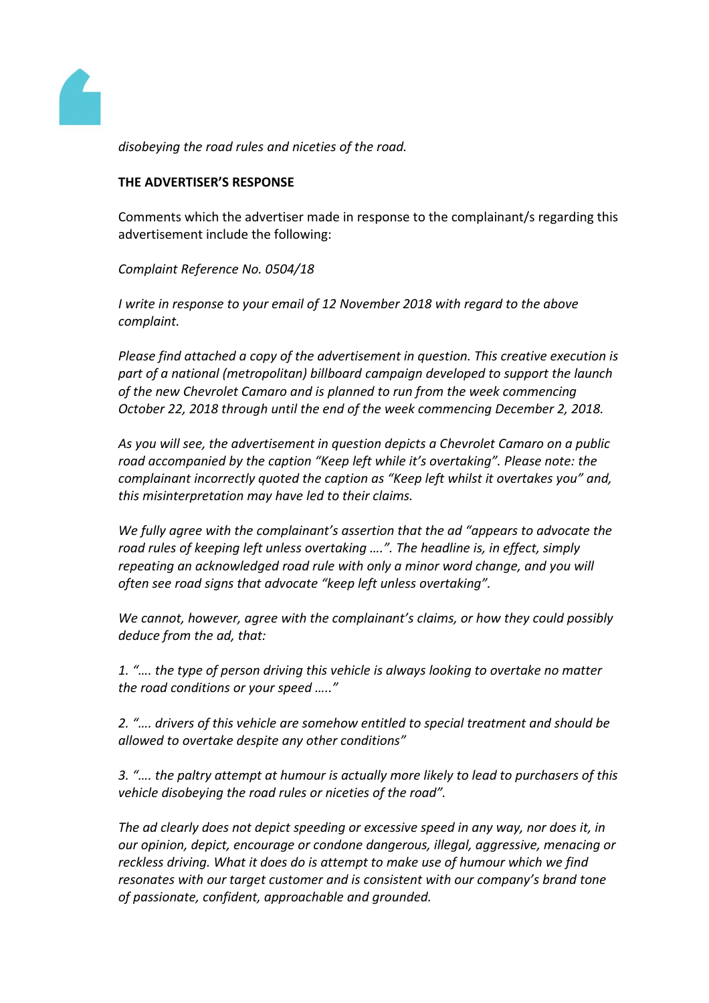

*disobeying the road rules and niceties of the road.* 

## **THE ADVERTISER'S RESPONSE**

Comments which the advertiser made in response to the complainant/s regarding this advertisement include the following:

*Complaint Reference No. 0504/18*

*I write in response to your email of 12 November 2018 with regard to the above complaint.*

*Please find attached a copy of the advertisement in question. This creative execution is part of a national (metropolitan) billboard campaign developed to support the launch of the new Chevrolet Camaro and is planned to run from the week commencing October 22, 2018 through until the end of the week commencing December 2, 2018.*

*As you will see, the advertisement in question depicts a Chevrolet Camaro on a public road accompanied by the caption "Keep left while it's overtaking". Please note: the complainant incorrectly quoted the caption as "Keep left whilst it overtakes you" and, this misinterpretation may have led to their claims.*

*We fully agree with the complainant's assertion that the ad "appears to advocate the road rules of keeping left unless overtaking ….". The headline is, in effect, simply repeating an acknowledged road rule with only a minor word change, and you will often see road signs that advocate "keep left unless overtaking".*

*We cannot, however, agree with the complainant's claims, or how they could possibly deduce from the ad, that:*

*1. "…. the type of person driving this vehicle is always looking to overtake no matter the road conditions or your speed ….."*

*2. "…. drivers of this vehicle are somehow entitled to special treatment and should be allowed to overtake despite any other conditions"*

*3. "…. the paltry attempt at humour is actually more likely to lead to purchasers of this vehicle disobeying the road rules or niceties of the road".*

*The ad clearly does not depict speeding or excessive speed in any way, nor does it, in our opinion, depict, encourage or condone dangerous, illegal, aggressive, menacing or reckless driving. What it does do is attempt to make use of humour which we find resonates with our target customer and is consistent with our company's brand tone of passionate, confident, approachable and grounded.*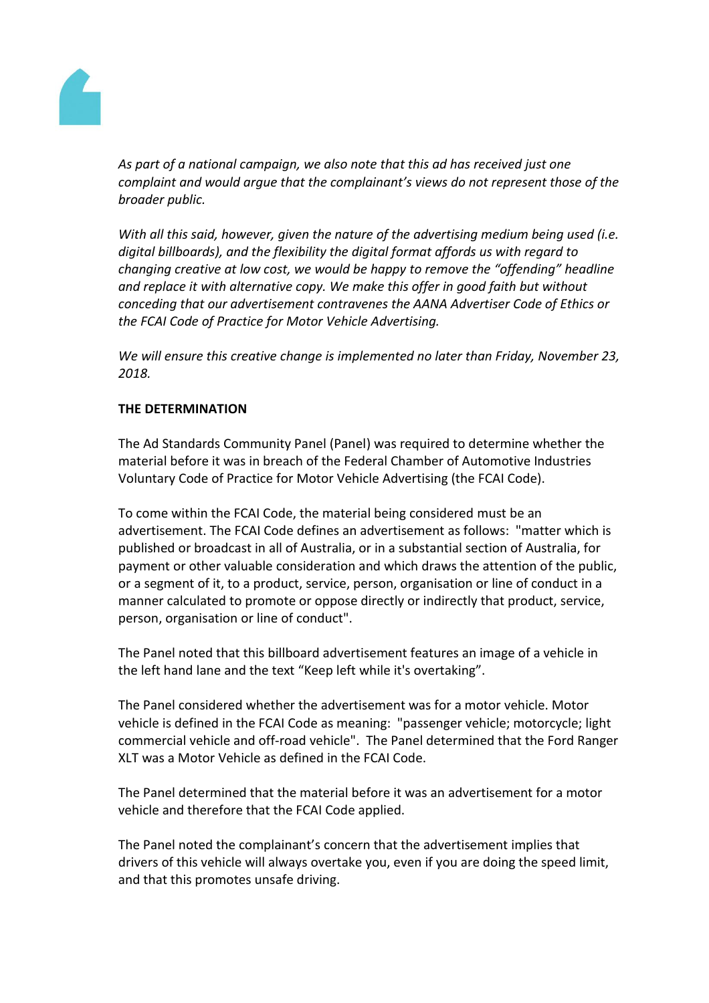

*As part of a national campaign, we also note that this ad has received just one complaint and would argue that the complainant's views do not represent those of the broader public.*

*With all this said, however, given the nature of the advertising medium being used (i.e. digital billboards), and the flexibility the digital format affords us with regard to changing creative at low cost, we would be happy to remove the "offending" headline and replace it with alternative copy. We make this offer in good faith but without conceding that our advertisement contravenes the AANA Advertiser Code of Ethics or the FCAI Code of Practice for Motor Vehicle Advertising.*

*We will ensure this creative change is implemented no later than Friday, November 23, 2018.*

## **THE DETERMINATION**

The Ad Standards Community Panel (Panel) was required to determine whether the material before it was in breach of the Federal Chamber of Automotive Industries Voluntary Code of Practice for Motor Vehicle Advertising (the FCAI Code).

To come within the FCAI Code, the material being considered must be an advertisement. The FCAI Code defines an advertisement as follows: "matter which is published or broadcast in all of Australia, or in a substantial section of Australia, for payment or other valuable consideration and which draws the attention of the public, or a segment of it, to a product, service, person, organisation or line of conduct in a manner calculated to promote or oppose directly or indirectly that product, service, person, organisation or line of conduct".

The Panel noted that this billboard advertisement features an image of a vehicle in the left hand lane and the text "Keep left while it's overtaking".

The Panel considered whether the advertisement was for a motor vehicle. Motor vehicle is defined in the FCAI Code as meaning: "passenger vehicle; motorcycle; light commercial vehicle and off-road vehicle". The Panel determined that the Ford Ranger XLT was a Motor Vehicle as defined in the FCAI Code.

The Panel determined that the material before it was an advertisement for a motor vehicle and therefore that the FCAI Code applied.

The Panel noted the complainant's concern that the advertisement implies that drivers of this vehicle will always overtake you, even if you are doing the speed limit, and that this promotes unsafe driving.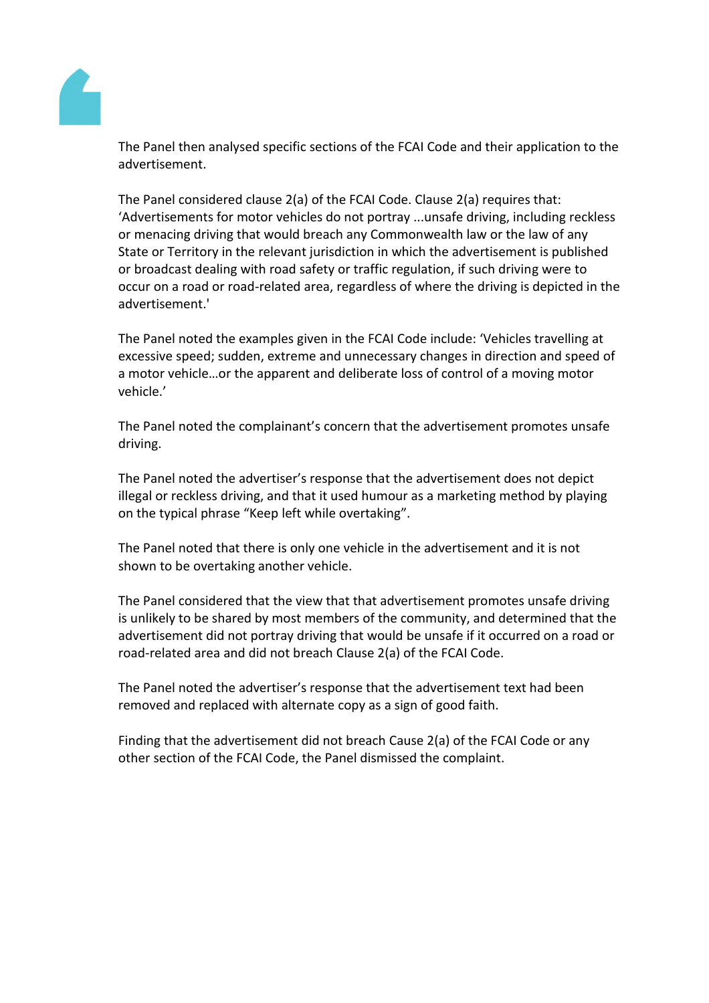

The Panel then analysed specific sections of the FCAI Code and their application to the advertisement.

The Panel considered clause 2(a) of the FCAI Code. Clause 2(a) requires that: 'Advertisements for motor vehicles do not portray ...unsafe driving, including reckless or menacing driving that would breach any Commonwealth law or the law of any State or Territory in the relevant jurisdiction in which the advertisement is published or broadcast dealing with road safety or traffic regulation, if such driving were to occur on a road or road-related area, regardless of where the driving is depicted in the advertisement.'

The Panel noted the examples given in the FCAI Code include: 'Vehicles travelling at excessive speed; sudden, extreme and unnecessary changes in direction and speed of a motor vehicle…or the apparent and deliberate loss of control of a moving motor vehicle.'

The Panel noted the complainant's concern that the advertisement promotes unsafe driving.

The Panel noted the advertiser's response that the advertisement does not depict illegal or reckless driving, and that it used humour as a marketing method by playing on the typical phrase "Keep left while overtaking".

The Panel noted that there is only one vehicle in the advertisement and it is not shown to be overtaking another vehicle.

The Panel considered that the view that that advertisement promotes unsafe driving is unlikely to be shared by most members of the community, and determined that the advertisement did not portray driving that would be unsafe if it occurred on a road or road-related area and did not breach Clause 2(a) of the FCAI Code.

The Panel noted the advertiser's response that the advertisement text had been removed and replaced with alternate copy as a sign of good faith.

Finding that the advertisement did not breach Cause 2(a) of the FCAI Code or any other section of the FCAI Code, the Panel dismissed the complaint.